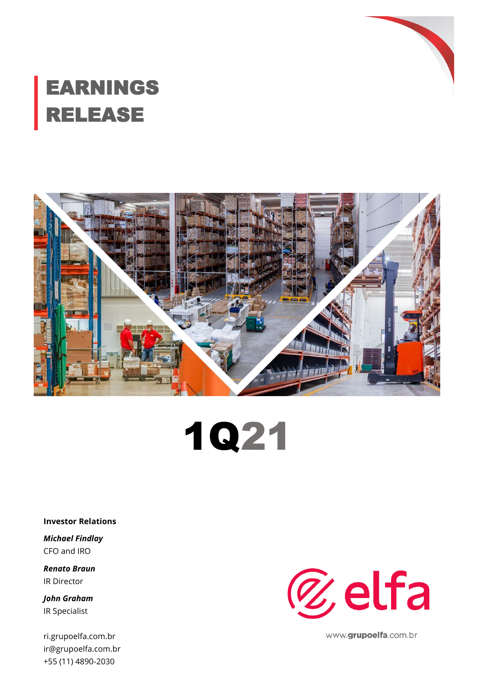

# EARNINGS RELEASE





**Investor Relations**

*Michael Findlay* CFO and IRO

*Renato Braun* IR Director

*John Graham* IR Specialist

ri.grupoelfa.com.br ir@grupoelfa.com.br +55 (11) 4890-2030



www.grupoelfa.com.br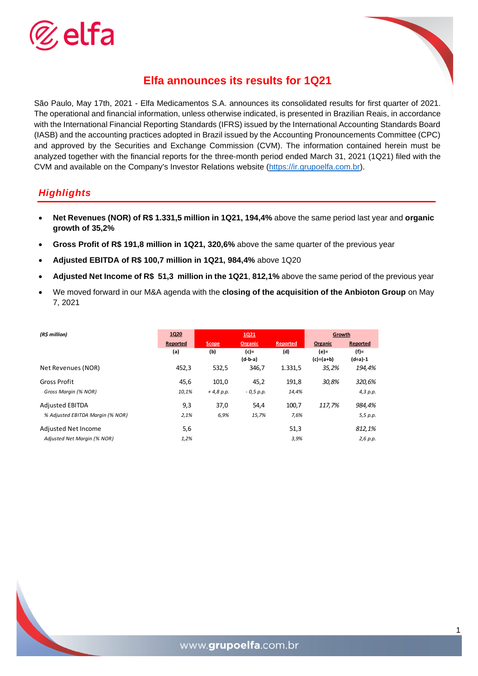



# **Elfa announces its results for 1Q21**

São Paulo, May 17th, 2021 - Elfa Medicamentos S.A. announces its consolidated results for first quarter of 2021. The operational and financial information, unless otherwise indicated, is presented in Brazilian Reais, in accordance with the International Financial Reporting Standards (IFRS) issued by the International Accounting Standards Board (IASB) and the accounting practices adopted in Brazil issued by the Accounting Pronouncements Committee (CPC) and approved by the Securities and Exchange Commission (CVM). The information contained herein must be analyzed together with the financial reports for the three-month period ended March 31, 2021 (1Q21) filed with the CVM and available on the Company's Investor Relations website [\(https://ir.grupoelfa.com.br\)](https://ir.grupoelfa.com.br/).

#### *Highlights*

- **Net Revenues (NOR) of R\$ 1.331,5 million in 1Q21, 194,4%** above the same period last year and **organic growth of 35,2%**
- **Gross Profit of R\$ 191,8 million in 1Q21, 320,6%** above the same quarter of the previous year
- **Adjusted EBITDA of R\$ 100,7 million in 1Q21, 984,4%** above 1Q20
- **Adjusted Net Income of R\$ 51,3 million in the 1Q21**, **812,1%** above the same period of the previous year
- We moved forward in our M&A agenda with the **closing of the acquisition of the Anbioton Group** on May 7, 2021

| (R\$ million)                    | 1Q20     |              | 1021              |          | Growth                   |                      |
|----------------------------------|----------|--------------|-------------------|----------|--------------------------|----------------------|
|                                  | Reported | <b>Scope</b> | <b>Organic</b>    | Reported | Organic                  | Reported             |
|                                  | (a)      | (b)          | (c)=<br>$(d-b-a)$ | (d)      | (e)=<br>$(c) \div (a+b)$ | $(f)$ =<br>$(d+a)-1$ |
| Net Revenues (NOR)               | 452,3    | 532,5        | 346,7             | 1.331,5  | 35,2%                    | 194,4%               |
| <b>Gross Profit</b>              | 45,6     | 101,0        | 45,2              | 191,8    | 30.8%                    | 320,6%               |
| Gross Margin (% NOR)             | 10,1%    | $+4,8 p.p.$  | $-0.5 p.p.$       | 14,4%    |                          | 4,3 p.p.             |
| <b>Adjusted EBITDA</b>           | 9,3      | 37,0         | 54,4              | 100,7    | 117,7%                   | 984,4%               |
| % Adjusted EBITDA Margin (% NOR) | 2,1%     | 6,9%         | 15,7%             | 7,6%     |                          | 5,5 p.p.             |
| Adjusted Net Income              | 5,6      |              |                   | 51,3     |                          | 812,1%               |
| Adjusted Net Margin (% NOR)      | 1,2%     |              |                   | 3,9%     |                          | 2,6 p.p.             |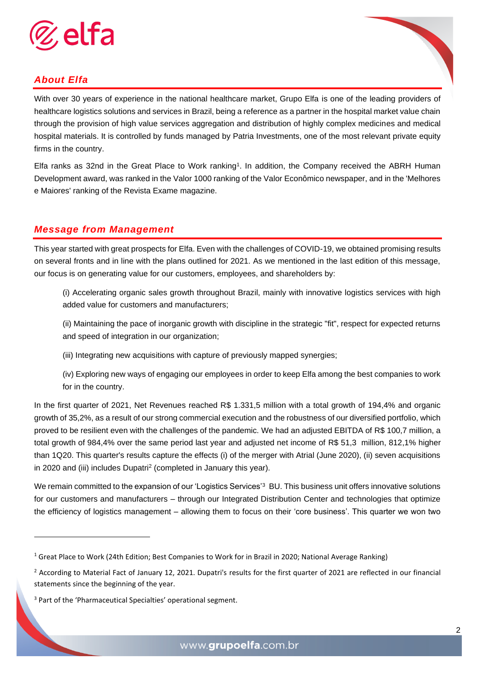

# *About Elfa*

With over 30 years of experience in the national healthcare market, Grupo Elfa is one of the leading providers of healthcare logistics solutions and services in Brazil, being a reference as a partner in the hospital market value chain through the provision of high value services aggregation and distribution of highly complex medicines and medical hospital materials. It is controlled by funds managed by Patria Investments, one of the most relevant private equity firms in the country.

Elfa ranks as 32nd in the Great Place to Work ranking<sup>1</sup>. In addition, the Company received the ABRH Human Development award, was ranked in the Valor 1000 ranking of the Valor Econômico newspaper, and in the 'Melhores e Maiores' ranking of the Revista Exame magazine.

#### *Message from Management*

This year started with great prospects for Elfa. Even with the challenges of COVID-19, we obtained promising results on several fronts and in line with the plans outlined for 2021. As we mentioned in the last edition of this message, our focus is on generating value for our customers, employees, and shareholders by:

(i) Accelerating organic sales growth throughout Brazil, mainly with innovative logistics services with high added value for customers and manufacturers;

(ii) Maintaining the pace of inorganic growth with discipline in the strategic "fit", respect for expected returns and speed of integration in our organization;

(iii) Integrating new acquisitions with capture of previously mapped synergies;

(iv) Exploring new ways of engaging our employees in order to keep Elfa among the best companies to work for in the country.

In the first quarter of 2021, Net Revenues reached R\$ 1.331,5 million with a total growth of 194,4% and organic growth of 35,2%, as a result of our strong commercial execution and the robustness of our diversified portfolio, which proved to be resilient even with the challenges of the pandemic. We had an adjusted EBITDA of R\$ 100,7 million, a total growth of 984,4% over the same period last year and adjusted net income of R\$ 51,3 million, 812,1% higher than 1Q20. This quarter's results capture the effects (i) of the merger with Atrial (June 2020), (ii) seven acquisitions in 2020 and (iii) includes Dupatri<sup>2</sup> (completed in January this year).

We remain committed to the expansion of our 'Logistics Services'<sup>3</sup> BU. This business unit offers innovative solutions for our customers and manufacturers – through our Integrated Distribution Center and technologies that optimize the efficiency of logistics management – allowing them to focus on their 'core business'. This quarter we won two

<sup>&</sup>lt;sup>1</sup> Great Place to Work (24th Edition; Best Companies to Work for in Brazil in 2020; National Average Ranking)

 $<sup>2</sup>$  According to Material Fact of January 12, 2021. Dupatri's results for the first quarter of 2021 are reflected in our financial</sup> statements since the beginning of the year.

<sup>&</sup>lt;sup>3</sup> Part of the 'Pharmaceutical Specialties' operational segment.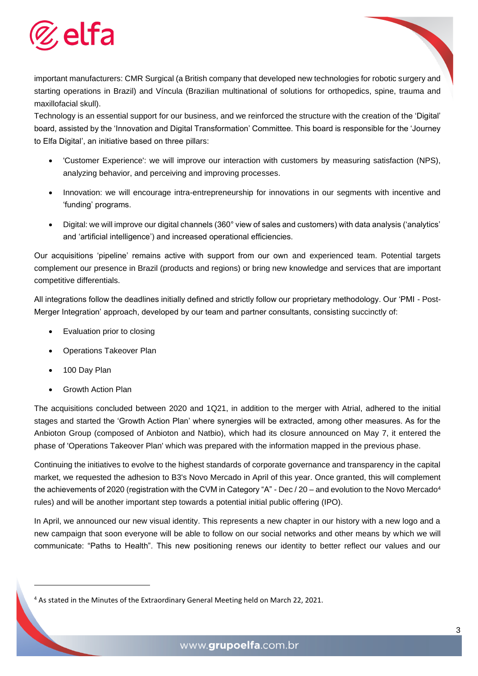

important manufacturers: CMR Surgical (a British company that developed new technologies for robotic surgery and starting operations in Brazil) and Víncula (Brazilian multinational of solutions for orthopedics, spine, trauma and maxillofacial skull).

Technology is an essential support for our business, and we reinforced the structure with the creation of the 'Digital' board, assisted by the 'Innovation and Digital Transformation' Committee. This board is responsible for the 'Journey to Elfa Digital', an initiative based on three pillars:

- 'Customer Experience': we will improve our interaction with customers by measuring satisfaction (NPS), analyzing behavior, and perceiving and improving processes.
- Innovation: we will encourage intra-entrepreneurship for innovations in our segments with incentive and 'funding' programs.
- Digital: we will improve our digital channels (360° view of sales and customers) with data analysis ('analytics' and 'artificial intelligence') and increased operational efficiencies.

Our acquisitions 'pipeline' remains active with support from our own and experienced team. Potential targets complement our presence in Brazil (products and regions) or bring new knowledge and services that are important competitive differentials.

All integrations follow the deadlines initially defined and strictly follow our proprietary methodology. Our 'PMI - Post-Merger Integration' approach, developed by our team and partner consultants, consisting succinctly of:

- Evaluation prior to closing
- Operations Takeover Plan
- 100 Day Plan
- Growth Action Plan

The acquisitions concluded between 2020 and 1Q21, in addition to the merger with Atrial, adhered to the initial stages and started the 'Growth Action Plan' where synergies will be extracted, among other measures. As for the Anbioton Group (composed of Anbioton and Natbio), which had its closure announced on May 7, it entered the phase of 'Operations Takeover Plan' which was prepared with the information mapped in the previous phase.

Continuing the initiatives to evolve to the highest standards of corporate governance and transparency in the capital market, we requested the adhesion to B3's Novo Mercado in April of this year. Once granted, this will complement the achievements of 2020 (registration with the CVM in Category "A" - Dec / 20 – and evolution to the Novo Mercado<sup>4</sup> rules) and will be another important step towards a potential initial public offering (IPO).

In April, we announced our new visual identity. This represents a new chapter in our history with a new logo and a new campaign that soon everyone will be able to follow on our social networks and other means by which we will communicate: "Paths to Health". This new positioning renews our identity to better reflect our values and our

<sup>&</sup>lt;sup>4</sup> As stated in the Minutes of the Extraordinary General Meeting held on March 22, 2021.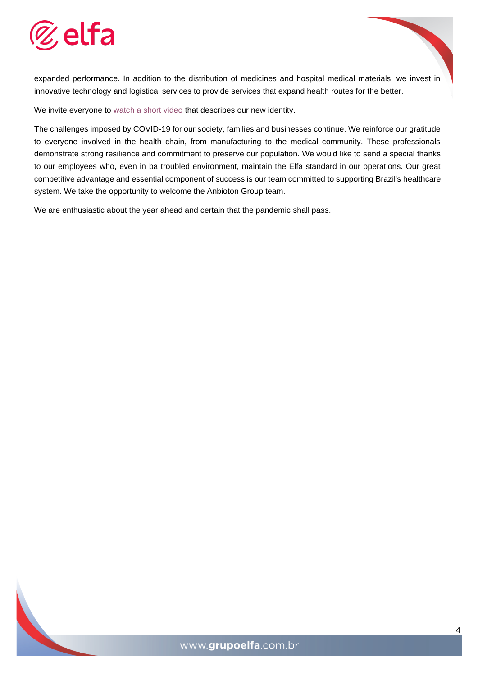

expanded performance. In addition to the distribution of medicines and hospital medical materials, we invest in innovative technology and logistical services to provide services that expand health routes for the better.

We invite everyone to [watch a short video](https://www.youtube.com/watch?v=AIz05ZfTExg) that describes our new identity.

The challenges imposed by COVID-19 for our society, families and businesses continue. We reinforce our gratitude to everyone involved in the health chain, from manufacturing to the medical community. These professionals demonstrate strong resilience and commitment to preserve our population. We would like to send a special thanks to our employees who, even in ba troubled environment, maintain the Elfa standard in our operations. Our great competitive advantage and essential component of success is our team committed to supporting Brazil's healthcare system. We take the opportunity to welcome the Anbioton Group team.

We are enthusiastic about the year ahead and certain that the pandemic shall pass.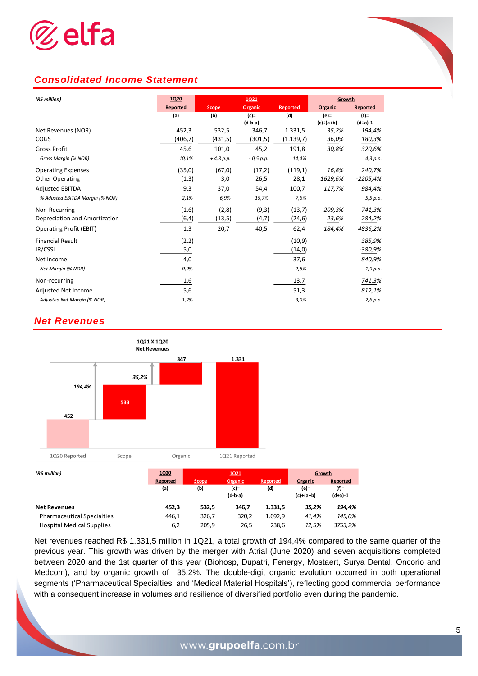

#### *Consolidated Income Statement*

| (R\$ million)                   | <b>1Q20</b> |              | <b>1Q21</b> |                 | Growth           |           |
|---------------------------------|-------------|--------------|-------------|-----------------|------------------|-----------|
|                                 | Reported    | <b>Scope</b> | Organic     | <b>Reported</b> | Organic          | Reported  |
|                                 | (a)         | (b)          | $(c)$ =     | (d)             | $(e) =$          | $(f)$ =   |
|                                 |             |              | $(d-b-a)$   |                 | $(c) \div (a+b)$ | $(d+a)-1$ |
| Net Revenues (NOR)              | 452,3       | 532,5        | 346,7       | 1.331,5         | 35,2%            | 194,4%    |
| COGS                            | (406, 7)    | (431,5)      | (301,5)     | (1.139,7)       | 36,0%            | 180,3%    |
| <b>Gross Profit</b>             | 45,6        | 101,0        | 45,2        | 191,8           | 30,8%            | 320,6%    |
| Gross Margin (% NOR)            | 10,1%       | $+4,8 p.p.$  | $-0.5 p.p.$ | 14,4%           |                  | 4,3 p.p.  |
| <b>Operating Expenses</b>       | (35,0)      | (67, 0)      | (17,2)      | (119,1)         | 16,8%            | 240,7%    |
| <b>Other Operating</b>          | (1,3)       | 3,0          | 26,5        | 28,1            | 1629,6%          | -2205,4%  |
| <b>Adjusted EBITDA</b>          | 9,3         | 37,0         | 54,4        | 100,7           | 117,7%           | 984,4%    |
| % Adusted EBITDA Margin (% NOR) | 2,1%        | 6,9%         | 15,7%       | 7,6%            |                  | 5,5 p.p.  |
| Non-Recurring                   | (1,6)       | (2,8)        | (9,3)       | (13,7)          | 209,3%           | 741,3%    |
| Depreciation and Amortization   | (6, 4)      | (13, 5)      | (4,7)       | (24, 6)         | 23,6%            | 284,2%    |
| <b>Operating Profit (EBIT)</b>  | 1,3         | 20,7         | 40,5        | 62,4            | 184,4%           | 4836,2%   |
| <b>Financial Result</b>         | (2,2)       |              |             | (10, 9)         |                  | 385,9%    |
| IR/CSSL                         | 5,0         |              |             | (14, 0)         |                  | -380,9%   |
| Net Income                      | 4,0         |              |             | 37,6            |                  | 840,9%    |
| Net Margin (% NOR)              | 0,9%        |              |             | 2,8%            |                  | 1,9 p.p.  |
| Non-recurring                   | 1,6         |              |             | 13,7            |                  | 741,3%    |
| <b>Adjusted Net Income</b>      | 5,6         |              |             | 51,3            |                  | 812,1%    |
| Adjusted Net Margin (% NOR)     | 1,2%        |              |             | 3,9%            |                  | 2,6 p.p.  |

#### *Net Revenues*



Net revenues reached R\$ 1.331,5 million in 1Q21, a total growth of 194,4% compared to the same quarter of the previous year. This growth was driven by the merger with Atrial (June 2020) and seven acquisitions completed between 2020 and the 1st quarter of this year (Biohosp, Dupatri, Fenergy, Mostaert, Surya Dental, Oncorio and Medcom), and by organic growth of 35,2%. The double-digit organic evolution occurred in both operational segments ('Pharmaceutical Specialties' and 'Medical Material Hospitals'), reflecting good commercial performance with a consequent increase in volumes and resilience of diversified portfolio even during the pandemic.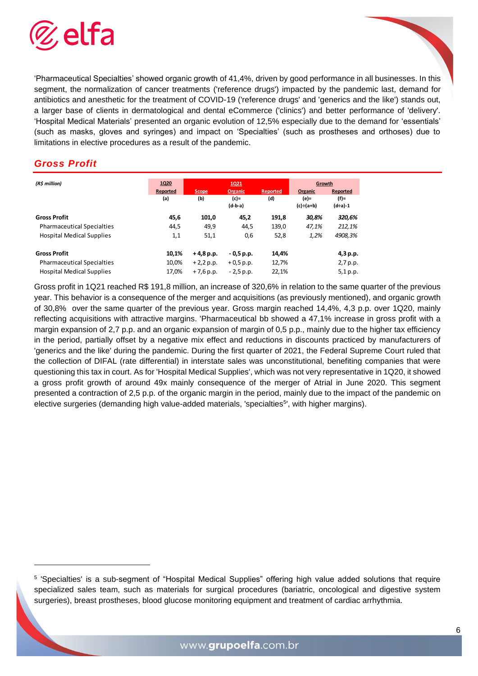

'Pharmaceutical Specialties' showed organic growth of 41,4%, driven by good performance in all businesses. In this segment, the normalization of cancer treatments ('reference drugs') impacted by the pandemic last, demand for antibiotics and anesthetic for the treatment of COVID-19 ('reference drugs' and 'generics and the like') stands out, a larger base of clients in dermatological and dental eCommerce ('clinics') and better performance of 'delivery'. 'Hospital Medical Materials' presented an organic evolution of 12,5% especially due to the demand for 'essentials' (such as masks, gloves and syringes) and impact on 'Specialties' (such as prostheses and orthoses) due to limitations in elective procedures as a result of the pandemic.

#### *Gross Profit*

| (R\$ million)                     | 1Q20     | 1Q21         |                |          | Growth    |          |  |
|-----------------------------------|----------|--------------|----------------|----------|-----------|----------|--|
|                                   | Reported | <b>Scope</b> | <b>Organic</b> | Reported | Organic   | Reported |  |
|                                   | (a)      | (b)          | $(c)$ =        | (d)      | (e)=      | (f)=     |  |
|                                   |          |              | $(d-b-a)$      |          | (c)÷(a+b) | (d÷a)-1  |  |
| <b>Gross Profit</b>               | 45,6     | 101,0        | 45,2           | 191,8    | 30,8%     | 320,6%   |  |
| <b>Pharmaceutical Specialties</b> | 44,5     | 49,9         | 44,5           | 139,0    | 47,1%     | 212,1%   |  |
| <b>Hospital Medical Supplies</b>  | 1,1      | 51,1         | 0,6            | 52,8     | 1,2%      | 4908,3%  |  |
| <b>Gross Profit</b>               | 10,1%    | $+4,8$ p.p.  | $-0,5$ p.p.    | 14,4%    |           | 4,3 p.p. |  |
| <b>Pharmaceutical Specialties</b> | 10,0%    | $+2,2 p.p.$  | $+0.5 p.p.$    | 12,7%    |           | 2,7 p.p. |  |
| <b>Hospital Medical Supplies</b>  | 17,0%    | $+7,6$ p.p.  | $-2,5$ p.p.    | 22,1%    |           | 5,1 p.p. |  |

Gross profit in 1Q21 reached R\$ 191,8 million, an increase of 320,6% in relation to the same quarter of the previous year. This behavior is a consequence of the merger and acquisitions (as previously mentioned), and organic growth of 30,8% over the same quarter of the previous year. Gross margin reached 14,4%, 4,3 p.p. over 1Q20, mainly reflecting acquisitions with attractive margins. 'Pharmaceutical bb showed a 47,1% increase in gross profit with a margin expansion of 2,7 p.p. and an organic expansion of margin of 0,5 p.p., mainly due to the higher tax efficiency in the period, partially offset by a negative mix effect and reductions in discounts practiced by manufacturers of 'generics and the like' during the pandemic. During the first quarter of 2021, the Federal Supreme Court ruled that the collection of DIFAL (rate differential) in interstate sales was unconstitutional, benefiting companies that were questioning this tax in court. As for 'Hospital Medical Supplies', which was not very representative in 1Q20, it showed a gross profit growth of around 49x mainly consequence of the merger of Atrial in June 2020. This segment presented a contraction of 2,5 p.p. of the organic margin in the period, mainly due to the impact of the pandemic on elective surgeries (demanding high value-added materials, 'specialties<sup>5</sup>', with higher margins).

<sup>5</sup> 'Specialties' is a sub-segment of "Hospital Medical Supplies" offering high value added solutions that require specialized sales team, such as materials for surgical procedures (bariatric, oncological and digestive system surgeries), breast prostheses, blood glucose monitoring equipment and treatment of cardiac arrhythmia.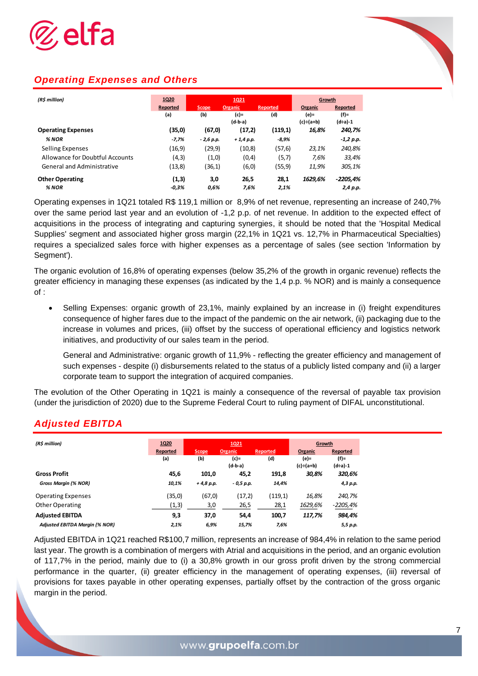

## *Operating Expenses and Others*

| (R\$ million)                     | 1Q20     | 1Q21         |             |          | Growth           |             |
|-----------------------------------|----------|--------------|-------------|----------|------------------|-------------|
|                                   | Reported | <b>Scope</b> | Organic     | Reported | Organic          | Reported    |
|                                   | (a)      | (b)          | (c)=        | (d)      | (e)=             | (f)=        |
|                                   |          |              | $(d-b-a)$   |          | $(c) \div (a+b)$ | (d÷a)-1     |
| <b>Operating Expenses</b>         | (35,0)   | (67, 0)      | (17,2)      | (119,1)  | 16,8%            | 240,7%      |
| % NOR                             | $-7,7%$  | $-2,6$ p.p.  | $+1.4 p.p.$ | $-8,9%$  |                  | $-1,2 p.p.$ |
| Selling Expenses                  | (16,9)   | (29,9)       | (10, 8)     | (57,6)   | 23,1%            | 240,8%      |
| Allowance for Doubtful Accounts   | (4,3)    | (1,0)        | (0,4)       | (5,7)    | 7,6%             | 33,4%       |
| <b>General and Administrative</b> | (13, 8)  | (36,1)       | (6, 0)      | (55,9)   | 11,9%            | 305,1%      |
| <b>Other Operating</b>            | (1,3)    | 3,0          | 26,5        | 28,1     | 1629,6%          | $-2205,4%$  |
| % NOR                             | $-0.3%$  | 0.6%         | 7,6%        | 2,1%     |                  | 2,4 p.p.    |

Operating expenses in 1Q21 totaled R\$ 119,1 million or 8,9% of net revenue, representing an increase of 240,7% over the same period last year and an evolution of -1,2 p.p. of net revenue. In addition to the expected effect of acquisitions in the process of integrating and capturing synergies, it should be noted that the 'Hospital Medical Supplies' segment and associated higher gross margin (22,1% in 1Q21 vs. 12,7% in Pharmaceutical Specialties) requires a specialized sales force with higher expenses as a percentage of sales (see section 'Information by Segment').

The organic evolution of 16,8% of operating expenses (below 35,2% of the growth in organic revenue) reflects the greater efficiency in managing these expenses (as indicated by the 1,4 p.p. % NOR) and is mainly a consequence of :

• Selling Expenses: organic growth of 23,1%, mainly explained by an increase in (i) freight expenditures consequence of higher fares due to the impact of the pandemic on the air network, (ii) packaging due to the increase in volumes and prices, (iii) offset by the success of operational efficiency and logistics network initiatives, and productivity of our sales team in the period.

General and Administrative: organic growth of 11,9% - reflecting the greater efficiency and management of such expenses - despite (i) disbursements related to the status of a publicly listed company and (ii) a larger corporate team to support the integration of acquired companies.

The evolution of the Other Operating in 1Q21 is mainly a consequence of the reversal of payable tax provision (under the jurisdiction of 2020) due to the Supreme Federal Court to ruling payment of DIFAL unconstitutional.

#### *Adjusted EBITDA*

| (R\$ million)                         | 1Q20     | 1Q21        |            |                 | Growth           |           |  |
|---------------------------------------|----------|-------------|------------|-----------------|------------------|-----------|--|
|                                       | Reported | Scope,      | Organic    | <b>Reported</b> | Organic          | Reported  |  |
|                                       | (a)      | (b)         | (c)=       | (d)             | (e)=             | $(f)$ =   |  |
|                                       |          |             | $(d-b-a)$  |                 | $(c) \div (a+b)$ | $(d+a)-1$ |  |
| <b>Gross Profit</b>                   | 45,6     | 101,0       | 45,2       | 191,8           | 30,8%            | 320,6%    |  |
| Gross Margin (% NOR)                  | 10,1%    | $+4,8 p.p.$ | - 0,5 p.p. | 14,4%           |                  | 4,3 p.p.  |  |
| <b>Operating Expenses</b>             | (35,0)   | (67, 0)     | (17,2)     | (119,1)         | 16,8%            | 240,7%    |  |
| <b>Other Operating</b>                | (1,3)    | 3,0         | 26,5       | 28,1            | 1629,6%          | -2205,4%  |  |
| <b>Adjusted EBITDA</b>                | 9,3      | 37,0        | 54,4       | 100,7           | 117,7%           | 984,4%    |  |
| <b>Adjusted EBITDA Margin (% NOR)</b> | 2,1%     | 6,9%        | 15,7%      | 7,6%            |                  | 5,5 p.p.  |  |

Adjusted EBITDA in 1Q21 reached R\$100,7 million, represents an increase of 984,4% in relation to the same period last year. The growth is a combination of mergers with Atrial and acquisitions in the period, and an organic evolution of 117,7% in the period, mainly due to (i) a 30,8% growth in our gross profit driven by the strong commercial performance in the quarter, (ii) greater efficiency in the management of operating expenses, (iii) reversal of provisions for taxes payable in other operating expenses, partially offset by the contraction of the gross organic margin in the period.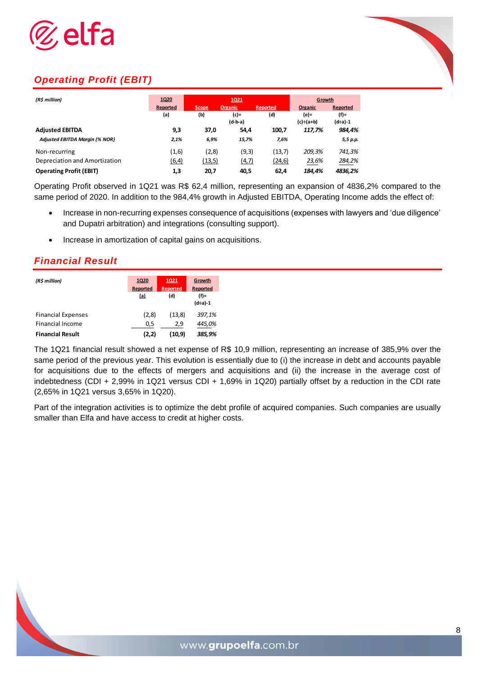

# *Operating Profit (EBIT)*

| (R\$ million)                         | 1Q20<br>1Q21 |              |                | Growth   |           |          |
|---------------------------------------|--------------|--------------|----------------|----------|-----------|----------|
|                                       | Reported     | <b>Scope</b> | <b>Organic</b> | Reported | Organic   | Reported |
|                                       | (a)          | (b)          | $(c)$ =        | (d)      | (e)=      | $(f)$ =  |
|                                       |              |              | $(d-b-a)$      |          | (c)÷(a+b) | (d÷a)-1  |
| <b>Adjusted EBITDA</b>                | 9,3          | 37,0         | 54,4           | 100,7    | 117,7%    | 984,4%   |
| <b>Adjusted EBITDA Margin (% NOR)</b> | 2,1%         | 6,9%         | 15,7%          | 7,6%     |           | 5,5 p.p. |
| Non-recurring                         | (1,6)        | (2,8)        | (9,3)          | (13,7)   | 209,3%    | 741,3%   |
| Depreciation and Amortization         | (6, 4)       | (13,5)       | (4,7)          | (24, 6)  | 23,6%     | 284,2%   |
| <b>Operating Profit (EBIT)</b>        | 1,3          | 20,7         | 40.5           | 62.4     | 184.4%    | 4836.2%  |

Operating Profit observed in 1Q21 was R\$ 62,4 million, representing an expansion of 4836,2% compared to the same period of 2020. In addition to the 984,4% growth in Adjusted EBITDA, Operating Income adds the effect of:

- Increase in non-recurring expenses consequence of acquisitions (expenses with lawyers and 'due diligence' and Dupatri arbitration) and integrations (consulting support).
- Increase in amortization of capital gains on acquisitions.

#### *Financial Result*

| (R\$ million)             | <b>1Q21</b><br><b>1Q20</b><br><b>Reported</b><br>Reported<br>(a)<br>(d) |         | Growth<br><b>Reported</b><br>$(f)$ = |
|---------------------------|-------------------------------------------------------------------------|---------|--------------------------------------|
| <b>Financial Expenses</b> | (2,8)                                                                   | (13,8)  | $(d+a)-1$<br>397,1%                  |
| Financial Income          | 0,5                                                                     | 2,9     | 445,0%                               |
| <b>Financial Result</b>   | (2,2)                                                                   | (10, 9) | 385,9%                               |

The 1Q21 financial result showed a net expense of R\$ 10,9 million, representing an increase of 385,9% over the same period of the previous year. This evolution is essentially due to (i) the increase in debt and accounts payable for acquisitions due to the effects of mergers and acquisitions and (ii) the increase in the average cost of indebtedness (CDI + 2,99% in 1Q21 versus CDI + 1,69% in 1Q20) partially offset by a reduction in the CDI rate (2,65% in 1Q21 versus 3,65% in 1Q20).

Part of the integration activities is to optimize the debt profile of acquired companies. Such companies are usually smaller than Elfa and have access to credit at higher costs.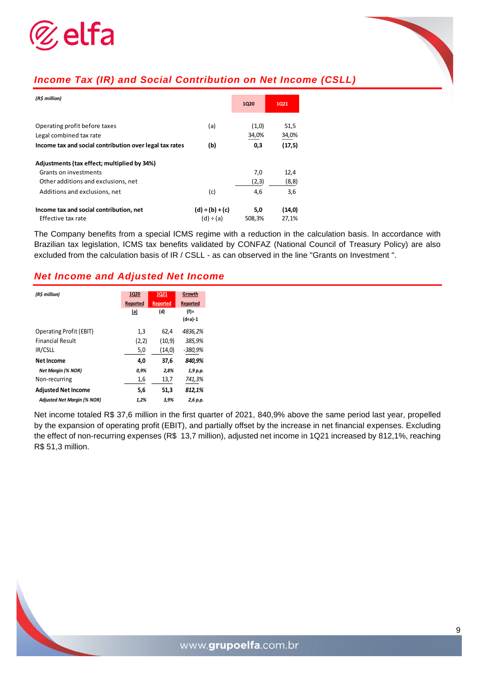

# *Income Tax (IR) and Social Contribution on Net Income (CSLL)*

| (R\$ million)                                           |                   | <b>1Q20</b> | <b>1Q21</b> |
|---------------------------------------------------------|-------------------|-------------|-------------|
|                                                         |                   |             |             |
| Operating profit before taxes                           | (a)               | (1,0)       | 51,5        |
| Legal combined tax rate                                 |                   | 34,0%       | 34,0%       |
| Income tax and social contribution over legal tax rates | (b)               | 0,3         | (17,5)      |
| Adjustments (tax effect; multiplied by 34%)             |                   |             |             |
| Grants on investments                                   |                   | 7,0         | 12,4        |
| Other additions and exclusions, net                     |                   | (2,3)       | (8, 8)      |
| Additions and exclusions, net                           | (c)               | 4,6         | 3,6         |
| Income tax and social contribution, net                 | $(d) = (b) + (c)$ | 5,0         | (14,0)      |
| Effective tax rate                                      | $(d) \div (a)$    | 508,3%      | 27,1%       |

The Company benefits from a special ICMS regime with a reduction in the calculation basis. In accordance with Brazilian tax legislation, ICMS tax benefits validated by CONFAZ (National Council of Treasury Policy) are also excluded from the calculation basis of IR / CSLL - as can observed in the line "Grants on Investment ".

#### *Net Income and Adjusted Net Income*

| (R\$ million)                      | 1Q20     | <b>1Q21</b>     | Growth    |
|------------------------------------|----------|-----------------|-----------|
|                                    | Reported | <b>Reported</b> | Reported  |
|                                    | (a)      | (d)             | $(f)$ =   |
|                                    |          |                 | $(d+a)-1$ |
| <b>Operating Profit (EBIT)</b>     | 1,3      | 62.4            | 4836,2%   |
| <b>Financial Result</b>            | (2,2)    | (10, 9)         | 385,9%    |
| IR/CSLL                            | 5,0      | (14,0)          | -380,9%   |
| <b>Net Income</b>                  | 4,0      | 37,6            | 840,9%    |
| <b>Net Margin (% NOR)</b>          | 0,9%     | 2,8%            | 1,9 p.p.  |
| Non-recurring                      | 1,6      | 13,7            | 741,3%    |
| <b>Adjusted Net Income</b>         | 5,6      | 51,3            | 812,1%    |
| <b>Adjusted Net Margin (% NOR)</b> | 1,2%     | 3,9%            | 2,6 p.p.  |

Net income totaled R\$ 37,6 million in the first quarter of 2021, 840,9% above the same period last year, propelled by the expansion of operating profit (EBIT), and partially offset by the increase in net financial expenses. Excluding the effect of non-recurring expenses (R\$ 13,7 million), adjusted net income in 1Q21 increased by 812,1%, reaching R\$ 51,3 million.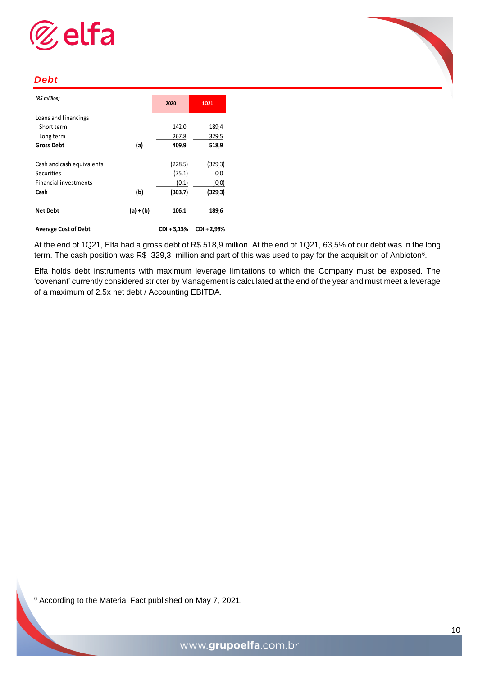



#### *Debt*

| (R\$ million)                |             | 2020        | 1Q21        |
|------------------------------|-------------|-------------|-------------|
| Loans and financings         |             |             |             |
| Short term                   |             | 142,0       | 189,4       |
| Long term                    |             | 267,8       | 329,5       |
| <b>Gross Debt</b>            | (a)         | 409,9       | 518,9       |
| Cash and cash equivalents    |             | (228, 5)    | (329, 3)    |
| Securities                   |             | (75, 1)     | 0,0         |
| <b>Financial investments</b> |             | (0,1)       | (0,0)       |
| Cash                         | (b)         | (303,7)     | (329,3)     |
| <b>Net Debt</b>              | $(a) + (b)$ | 106,1       | 189,6       |
| <b>Average Cost of Debt</b>  |             | CDI + 3,13% | CDI + 2,99% |

At the end of 1Q21, Elfa had a gross debt of R\$ 518,9 million. At the end of 1Q21, 63,5% of our debt was in the long term. The cash position was R\$ 329,3 million and part of this was used to pay for the acquisition of Anbioton<sup>6</sup>.

Elfa holds debt instruments with maximum leverage limitations to which the Company must be exposed. The 'covenant' currently considered stricter by Management is calculated at the end of the year and must meet a leverage of a maximum of 2.5x net debt / Accounting EBITDA.

<sup>6</sup> According to the Material Fact published on May 7, 2021.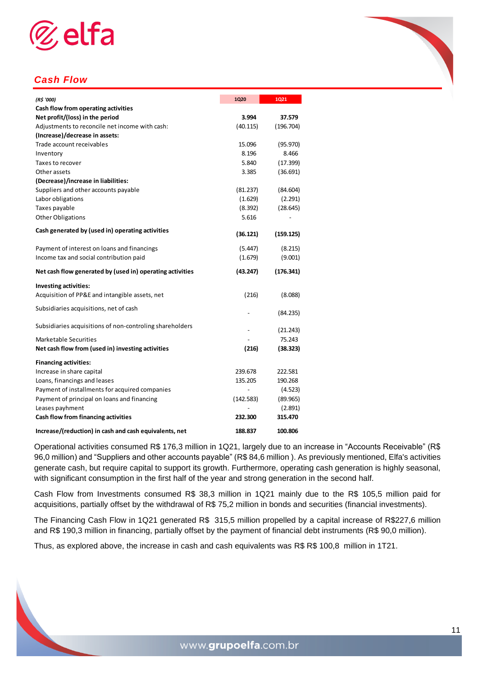

# *Cash Flow*

| (R\$ '000)                                                | 1Q20      | 1Q21      |
|-----------------------------------------------------------|-----------|-----------|
| Cash flow from operating activities                       |           |           |
| Net profit/(loss) in the period                           | 3.994     | 37.579    |
| Adjustments to reconcile net income with cash:            | (40.115)  | (196.704) |
| (Increase)/decrease in assets:                            |           |           |
| Trade account receivables                                 | 15.096    | (95.970)  |
| Inventory                                                 | 8.196     | 8.466     |
| Taxes to recover                                          | 5.840     | (17.399)  |
| Other assets                                              | 3.385     | (36.691)  |
| (Decrease)/increase in liabilities:                       |           |           |
| Suppliers and other accounts payable                      | (81.237)  | (84.604)  |
| Labor obligations                                         | (1.629)   | (2.291)   |
| Taxes payable                                             | (8.392)   | (28.645)  |
| <b>Other Obligations</b>                                  | 5.616     |           |
| Cash generated by (used in) operating activities          | (36.121)  | (159.125) |
| Payment of interest on loans and financings               | (5.447)   | (8.215)   |
| Income tax and social contribution paid                   | (1.679)   | (9.001)   |
| Net cash flow generated by (used in) operating activities | (43.247)  | (176.341) |
| Investing activities:                                     |           |           |
| Acquisition of PP&E and intangible assets, net            | (216)     | (8.088)   |
| Subsidiaries acquisitions, net of cash                    |           | (84.235)  |
| Subsidiaries acquisitions of non-controling shareholders  |           | (21.243)  |
| Marketable Securities                                     |           | 75.243    |
| Net cash flow from (used in) investing activities         | (216)     | (38.323)  |
| <b>Financing activities:</b>                              |           |           |
| Increase in share capital                                 | 239.678   | 222.581   |
| Loans, financings and leases                              | 135.205   | 190.268   |
| Payment of installments for acquired companies            |           | (4.523)   |
| Payment of principal on loans and financing               | (142.583) | (89.965)  |
| Leases payhment                                           |           | (2.891)   |
| Cash flow from financing activities                       | 232.300   | 315.470   |
| Increase/(reduction) in cash and cash equivalents, net    | 188.837   | 100.806   |

Operational activities consumed R\$ 176,3 million in 1Q21, largely due to an increase in "Accounts Receivable" (R\$ 96,0 million) and "Suppliers and other accounts payable" (R\$ 84,6 million ). As previously mentioned, Elfa's activities generate cash, but require capital to support its growth. Furthermore, operating cash generation is highly seasonal, with significant consumption in the first half of the year and strong generation in the second half.

Cash Flow from Investments consumed R\$ 38,3 million in 1Q21 mainly due to the R\$ 105,5 million paid for acquisitions, partially offset by the withdrawal of R\$ 75,2 million in bonds and securities (financial investments).

The Financing Cash Flow in 1Q21 generated R\$ 315,5 million propelled by a capital increase of R\$227,6 million and R\$ 190,3 million in financing, partially offset by the payment of financial debt instruments (R\$ 90,0 million).

Thus, as explored above, the increase in cash and cash equivalents was R\$ R\$ 100,8 million in 1T21.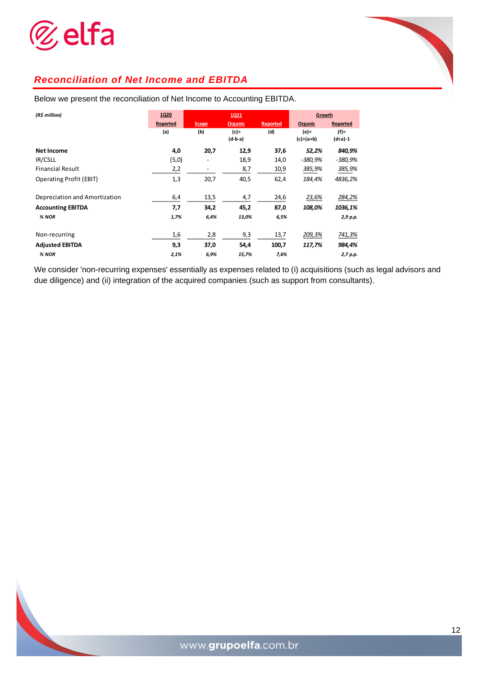



| (R\$ million)                  | 1Q20     | 1Q21  |                |                 | Growth           |                 |
|--------------------------------|----------|-------|----------------|-----------------|------------------|-----------------|
|                                | Reported | Scope | <b>Organic</b> | <b>Reported</b> | Organic          | <b>Reported</b> |
|                                | (a)      | (b)   | $(c)$ =        | (d)             | (e)=             | $(f)$ =         |
|                                |          |       | $(d-b-a)$      |                 | $(c) \div (a+b)$ | $(d+a)-1$       |
| <b>Net Income</b>              | 4,0      | 20,7  | 12,9           | 37,6            | 52,2%            | 840,9%          |
| IR/CSLL                        | (5,0)    |       | 18,9           | 14,0            | -380,9%          | -380,9%         |
| <b>Financial Result</b>        | 2,2      |       | 8,7            | 10,9            | 385,9%           | 385,9%          |
| <b>Operating Profit (EBIT)</b> | 1,3      | 20,7  | 40,5           | 62,4            | 184,4%           | 4836,2%         |
| Depreciation and Amortization  | 6,4      | 13,5  | 4,7            | 24,6            | 23,6%            | 284,2%          |
| <b>Accounting EBITDA</b>       | 7,7      | 34,2  | 45,2           | 87,0            | 108,0%           | 1036,1%         |
| % NOR                          | 1,7%     | 6,4%  | 13,0%          | 6,5%            |                  | 2,9 p.p.        |
| Non-recurring                  | 1,6      | 2,8   | 9,3            | 13,7            | 209,3%           | 741,3%          |
| <b>Adjusted EBITDA</b>         | 9,3      | 37,0  | 54,4           | 100,7           | 117,7%           | 984,4%          |
| % NOR                          | 2,1%     | 6,9%  | 15,7%          | 7,6%            |                  | 2,7 p.p.        |

Below we present the reconciliation of Net Income to Accounting EBITDA.

We consider 'non-recurring expenses' essentially as expenses related to (i) acquisitions (such as legal advisors and due diligence) and (ii) integration of the acquired companies (such as support from consultants).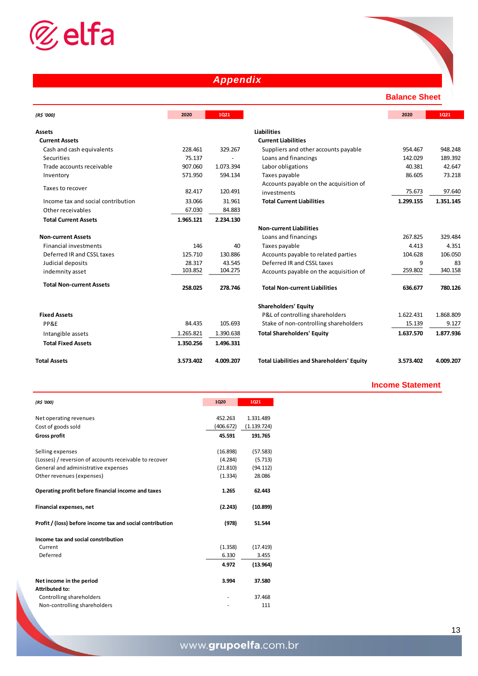

# *Appendix*

**Balance Sheet**

| (R\$ '000)                         | 2020      | 1021      |                                                   | 2020      | 1021      |
|------------------------------------|-----------|-----------|---------------------------------------------------|-----------|-----------|
| <b>Assets</b>                      |           |           | <b>Liabilities</b>                                |           |           |
| <b>Current Assets</b>              |           |           | <b>Current Liabilities</b>                        |           |           |
| Cash and cash equivalents          | 228.461   | 329.267   | Suppliers and other accounts payable              | 954.467   | 948.248   |
| Securities                         | 75.137    |           | Loans and financings                              | 142.029   | 189.392   |
| Trade accounts receivable          | 907.060   | 1.073.394 | Labor obligations                                 | 40.381    | 42.647    |
| Inventory                          | 571.950   | 594.134   | Taxes payable                                     | 86.605    | 73.218    |
|                                    |           |           | Accounts payable on the acquisition of            |           |           |
| Taxes to recover                   | 82.417    | 120.491   | investments                                       | 75.673    | 97.640    |
| Income tax and social contribution | 33.066    | 31.961    | <b>Total Current Liabilities</b>                  | 1.299.155 | 1.351.145 |
| Other receivables                  | 67.030    | 84.883    |                                                   |           |           |
| <b>Total Current Assets</b>        | 1.965.121 | 2.234.130 |                                                   |           |           |
|                                    |           |           | <b>Non-current Liabilities</b>                    |           |           |
| <b>Non-current Assets</b>          |           |           | Loans and financings                              | 267.825   | 329.484   |
| <b>Financial investments</b>       | 146       | 40        | Taxes payable                                     | 4.413     | 4.351     |
| Deferred IR and CSSL taxes         | 125.710   | 130.886   | Accounts payable to related parties               | 104.628   | 106.050   |
| Judicial deposits                  | 28.317    | 43.545    | Deferred IR and CSSL taxes                        | 9         | 83        |
| indemnity asset                    | 103.852   | 104.275   | Accounts payable on the acquisition of            | 259.802   | 340.158   |
| <b>Total Non-current Assets</b>    | 258.025   | 278.746   | <b>Total Non-current Liabilities</b>              | 636.677   | 780.126   |
|                                    |           |           | <b>Shareholders' Equity</b>                       |           |           |
| <b>Fixed Assets</b>                |           |           | P&L of controlling shareholders                   | 1.622.431 | 1.868.809 |
| PP&E                               | 84.435    | 105.693   | Stake of non-controlling shareholders             | 15.139    | 9.127     |
| Intangible assets                  | 1.265.821 | 1.390.638 | <b>Total Shareholders' Equity</b>                 | 1.637.570 | 1.877.936 |
| <b>Total Fixed Assets</b>          | 1.350.256 | 1.496.331 |                                                   |           |           |
| <b>Total Assets</b>                | 3.573.402 | 4.009.207 | <b>Total Liabilities and Shareholders' Equity</b> | 3.573.402 | 4.009.207 |

|           |           | <b>Liabilities</b>                                |           |           |
|-----------|-----------|---------------------------------------------------|-----------|-----------|
|           |           | <b>Current Liabilities</b>                        |           |           |
| 228.461   | 329.267   | Suppliers and other accounts payable              | 954.467   | 948.248   |
| 75.137    |           | Loans and financings                              | 142.029   | 189.392   |
| 907.060   | 1.073.394 | Labor obligations                                 | 40.381    | 42.647    |
| 571.950   | 594.134   | Taxes payable                                     | 86.605    | 73.218    |
|           |           | Accounts payable on the acquisition of            |           |           |
| 82.417    | 120.491   | investments                                       | 75.673    | 97.640    |
| 33.066    | 31.961    | <b>Total Current Liabilities</b>                  | 1.299.155 | 1.351.145 |
| 67.030    | 84.883    |                                                   |           |           |
| 1.965.121 | 2.234.130 |                                                   |           |           |
|           |           | <b>Non-current Liabilities</b>                    |           |           |
|           |           | Loans and financings                              | 267.825   | 329.484   |
| 146       | 40        | Taxes payable                                     | 4.413     | 4.351     |
| 125.710   | 130.886   | Accounts payable to related parties               | 104.628   | 106.050   |
| 28.317    | 43.545    | Deferred IR and CSSL taxes                        | 9         | 83        |
| 103.852   | 104.275   | Accounts payable on the acquisition of            | 259.802   | 340.158   |
| 258.025   | 278.746   | <b>Total Non-current Liabilities</b>              | 636.677   | 780.126   |
|           |           | <b>Shareholders' Equity</b>                       |           |           |
|           |           | P&L of controlling shareholders                   | 1.622.431 | 1.868.809 |
| 84.435    | 105.693   | Stake of non-controlling shareholders             | 15.139    | 9.127     |
| 1.265.821 | 1.390.638 | <b>Total Shareholders' Equity</b>                 | 1.637.570 | 1.877.936 |
| 1.350.256 | 1.496.331 |                                                   |           |           |
| 3.573.402 | 4.009.207 | <b>Total Liabilities and Shareholders' Equity</b> | 3.573.402 | 4.009.207 |

#### **Income Statement**

| (R\$ '000)                                                | <b>1Q20</b> | 1Q21        |
|-----------------------------------------------------------|-------------|-------------|
|                                                           |             |             |
| Net operating revenues                                    | 452.263     | 1.331.489   |
| Cost of goods sold                                        | (406.672)   | (1.139.724) |
| <b>Gross profit</b>                                       | 45.591      | 191.765     |
|                                                           |             |             |
| Selling expenses                                          | (16.898)    | (57.583)    |
| (Losses) / reversion of accounts receivable to recover    | (4.284)     | (5.713)     |
| General and administrative expenses                       | (21.810)    | (94.112)    |
| Other revenues (expenses)                                 | (1.334)     | 28.086      |
| Operating profit before financial income and taxes        | 1.265       | 62.443      |
| <b>Financial expenses, net</b>                            | (2.243)     | (10.899)    |
| Profit / (loss) before income tax and social contribution | (978)       | 51.544      |
| Income tax and social constribution                       |             |             |
| Current                                                   | (1.358)     | (17.419)    |
| Deferred                                                  | 6.330       | 3.455       |
|                                                           | 4.972       | (13.964)    |
|                                                           |             |             |
| Net income in the period                                  | 3.994       | 37.580      |
| <b>Attributed to:</b>                                     |             |             |
| Controlling shareholders                                  |             | 37.468      |
| Non-controlling shareholders                              |             | 111         |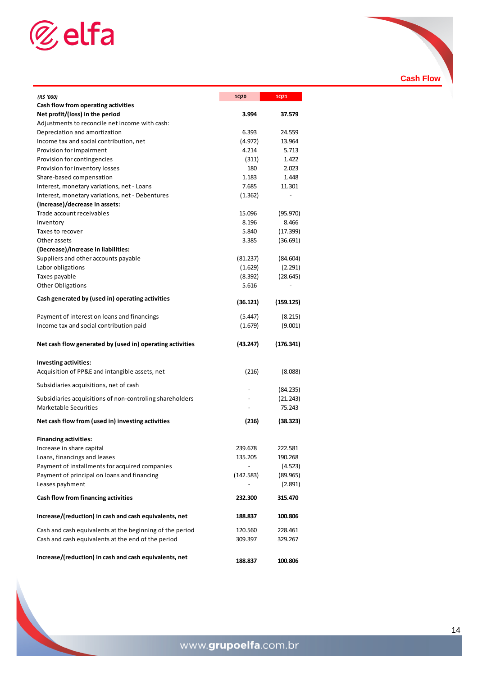

| (R\$ '000)                                                | <b>1Q20</b> | 1Q21                         |
|-----------------------------------------------------------|-------------|------------------------------|
| Cash flow from operating activities                       |             |                              |
| Net profit/(loss) in the period                           | 3.994       | 37.579                       |
| Adjustments to reconcile net income with cash:            |             |                              |
| Depreciation and amortization                             | 6.393       | 24.559                       |
| Income tax and social contribution, net                   | (4.972)     | 13.964                       |
| Provision for impairment                                  | 4.214       | 5.713                        |
| Provision for contingencies                               | (311)       | 1.422                        |
| Provision for inventory losses                            | 180         | 2.023                        |
| Share-based compensation                                  | 1.183       | 1.448                        |
| Interest, monetary variations, net - Loans                | 7.685       | 11.301                       |
| Interest, monetary variations, net - Debentures           | (1.362)     | $\qquad \qquad \blacksquare$ |
| (Increase)/decrease in assets:                            |             |                              |
| Trade account receivables                                 | 15.096      | (95.970)                     |
| Inventory                                                 | 8.196       | 8.466                        |
| Taxes to recover                                          | 5.840       | (17.399)                     |
| Other assets                                              | 3.385       | (36.691)                     |
| (Decrease)/increase in liabilities:                       |             |                              |
| Suppliers and other accounts payable                      | (81.237)    | (84.604)                     |
| Labor obligations                                         | (1.629)     | (2.291)                      |
| Taxes payable                                             | (8.392)     | (28.645)                     |
| <b>Other Obligations</b>                                  | 5.616       |                              |
|                                                           |             |                              |
| Cash generated by (used in) operating activities          | (36.121)    | (159.125)                    |
| Payment of interest on loans and financings               | (5.447)     | (8.215)                      |
| Income tax and social contribution paid                   | (1.679)     | (9.001)                      |
| Net cash flow generated by (used in) operating activities | (43.247)    | (176.341)                    |
|                                                           |             |                              |
| <b>Investing activities:</b>                              |             |                              |
| Acquisition of PP&E and intangible assets, net            | (216)       | (8.088)                      |
| Subsidiaries acquisitions, net of cash                    |             | (84.235)                     |
| Subsidiaries acquisitions of non-controling shareholders  |             | (21.243)                     |
| <b>Marketable Securities</b>                              |             | 75.243                       |
| Net cash flow from (used in) investing activities         | (216)       | (38.323)                     |
|                                                           |             |                              |
| <b>Financing activities:</b>                              |             |                              |
| Increase in share capital                                 | 239.678     | 222.581                      |
| Loans, financings and leases                              | 135.205     | 190.268                      |
| Payment of installments for acquired companies            |             | (4.523)                      |
| Payment of principal on loans and financing               | (142.583)   | (89.965)                     |
| Leases payhment                                           |             | (2.891)                      |
| Cash flow from financing activities                       | 232.300     | 315.470                      |
| Increase/(reduction) in cash and cash equivalents, net    | 188.837     | 100.806                      |
| Cash and cash equivalents at the beginning of the period  | 120.560     | 228.461                      |
| Cash and cash equivalents at the end of the period        | 309.397     | 329.267                      |
|                                                           |             |                              |
| Increase/(reduction) in cash and cash equivalents, net    | 188.837     | 100.806                      |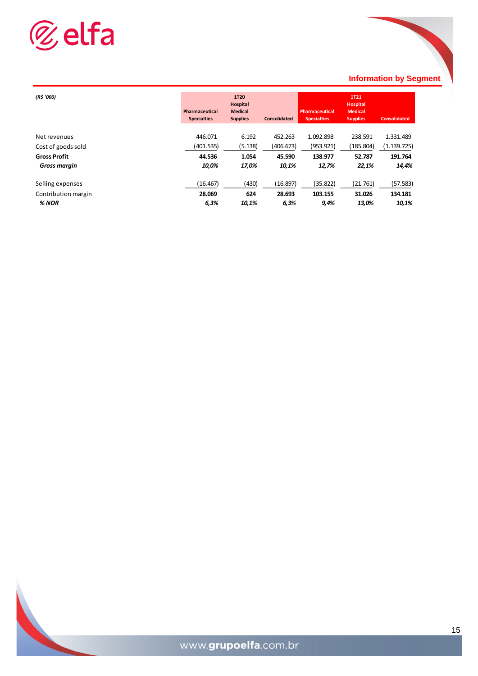

#### **Information by Segment**

| (R\$ '000)          | Pharmaceutical<br><b>Specialties</b> | <b>1T20</b><br>Hospital<br><b>Medical</b><br><b>Supplies</b> | <b>Consolidated</b> | <b>Pharmaceutical</b><br><b>Specialties</b> | <b>1T21</b><br><b>Hospital</b><br><b>Medical</b><br><b>Supplies</b> | <b>Consolidated</b> |
|---------------------|--------------------------------------|--------------------------------------------------------------|---------------------|---------------------------------------------|---------------------------------------------------------------------|---------------------|
|                     |                                      |                                                              |                     |                                             |                                                                     |                     |
| Net revenues        | 446.071                              | 6.192                                                        | 452.263             | 1.092.898                                   | 238.591                                                             | 1.331.489           |
| Cost of goods sold  | (401.535)                            | (5.138)                                                      | (406.673)           | (953.921)                                   | (185.804)                                                           | (1.139.725)         |
| <b>Gross Profit</b> | 44.536                               | 1.054                                                        | 45.590              | 138.977                                     | 52.787                                                              | 191.764             |
| <b>Gross margin</b> | 10,0%                                | 17,0%                                                        | 10,1%               | 12,7%                                       | 22,1%                                                               | 14,4%               |
| Selling expenses    | (16.467)                             | (430)                                                        | (16.897)            | (35.822)                                    | (21.761)                                                            | (57.583)            |
| Contribution margin | 28.069                               | 624                                                          | 28.693              | 103.155                                     | 31.026                                                              | 134.181             |
| % NOR               | 6,3%                                 | 10,1%                                                        | 6,3%                | 9,4%                                        | 13,0%                                                               | 10,1%               |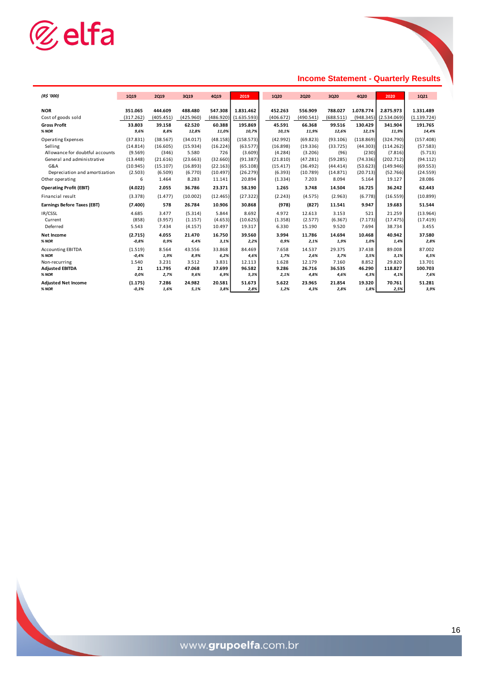

# **Income Statement - Quarterly Results**

| (R\$ '000)                         | <b>1Q19</b> | <b>2Q19</b> | 3019      | 4019      | 2019        | <b>1Q20</b> | <b>2Q20</b> | 3Q20      | 4020      | 2020        | 1021        |
|------------------------------------|-------------|-------------|-----------|-----------|-------------|-------------|-------------|-----------|-----------|-------------|-------------|
|                                    |             |             |           |           |             |             |             |           |           |             |             |
| <b>NOR</b>                         | 351.065     | 444.609     | 488.480   | 547.308   | 1.831.462   | 452.263     | 556.909     | 788.027   | 1.078.774 | 2.875.973   | 1.331.489   |
| Cost of goods sold                 | (317.262)   | (405.451)   | (425.960) | (486.920) | (1.635.593) | (406.672)   | (490.541)   | (688.511) | (948.345) | (2.534.069) | (1.139.724) |
| <b>Gross Profit</b>                | 33.803      | 39.158      | 62.520    | 60.388    | 195.869     | 45.591      | 66.368      | 99.516    | 130.429   | 341.904     | 191.765     |
| % NOR                              | 9,6%        | 8,8%        | 12,8%     | 11,0%     | 10,7%       | 10,1%       | 11,9%       | 12,6%     | 12,1%     | 11,9%       | 14,4%       |
| <b>Operating Expenses</b>          | (37.831)    | (38.567)    | (34.017)  | (48.158)  | (158.573)   | (42.992)    | (69.823)    | (93.106)  | (118.869) | (324.790)   | (157.408)   |
| Selling                            | (14.814)    | (16.605)    | (15.934)  | (16.224)  | (63.577)    | (16.898)    | (19.336)    | (33.725)  | (44.303)  | (114.262)   | (57.583)    |
| Allowance for doubtful accounts    | (9.569)     | (346)       | 5.580     | 726       | (3.609)     | (4.284)     | (3.206)     | (96)      | (230)     | (7.816)     | (5.713)     |
| General and administrative         | (13.448)    | (21.616)    | (23.663)  | (32.660)  | (91.387)    | (21.810)    | (47.281)    | (59.285)  | (74.336)  | (202.712)   | (94.112)    |
| G&A                                | (10.945)    | (15.107)    | (16.893)  | (22.163)  | (65.108)    | (15.417)    | (36.492)    | (44.414)  | (53.623)  | (149.946)   | (69.553)    |
| Depreciation and amortization      | (2.503)     | (6.509)     | (6.770)   | (10.497)  | (26.279)    | (6.393)     | (10.789)    | (14.871)  | (20.713)  | (52.766)    | (24.559)    |
| Other operating                    | 6           | 1.464       | 8.283     | 11.141    | 20.894      | (1.334)     | 7.203       | 8.094     | 5.164     | 19.127      | 28.086      |
| <b>Operating Profit (EBIT)</b>     | (4.022)     | 2.055       | 36.786    | 23.371    | 58.190      | 1.265       | 3.748       | 14.504    | 16.725    | 36.242      | 62.443      |
| Financial result                   | (3.378)     | (1.477)     | (10.002)  | (12.465)  | (27.322)    | (2.243)     | (4.575)     | (2.963)   | (6.778)   | (16.559)    | (10.899)    |
| <b>Earnings Before Taxes (EBT)</b> | (7.400)     | 578         | 26.784    | 10.906    | 30.868      | (978)       | (827)       | 11.541    | 9.947     | 19.683      | 51.544      |
| IR/CSSL                            | 4.685       | 3.477       | (5.314)   | 5.844     | 8.692       | 4.972       | 12.613      | 3.153     | 521       | 21.259      | (13.964)    |
| Current                            | (858)       | (3.957)     | (1.157)   | (4.653)   | (10.625)    | (1.358)     | (2.577)     | (6.367)   | (7.173)   | (17.475)    | (17.419)    |
| Deferred                           | 5.543       | 7.434       | (4.157)   | 10.497    | 19.317      | 6.330       | 15.190      | 9.520     | 7.694     | 38.734      | 3.455       |
| <b>Net Income</b>                  | (2.715)     | 4.055       | 21.470    | 16.750    | 39.560      | 3.994       | 11.786      | 14.694    | 10.468    | 40.942      | 37.580      |
| % NOR                              | $-0,8%$     | 0,9%        | 4,4%      | 3,1%      | 2,2%        | 0,9%        | 2,1%        | 1,9%      | 1,0%      | 1,4%        | 2,8%        |
| <b>Accounting EBITDA</b>           | (1.519)     | 8.564       | 43.556    | 33.868    | 84.469      | 7.658       | 14.537      | 29.375    | 37.438    | 89.008      | 87.002      |
| % NOR                              | $-0,4%$     | 1,9%        | 8,9%      | 6,2%      | 4,6%        | 1,7%        | 2,6%        | 3,7%      | 3,5%      | 3,1%        | 6,5%        |
| Non-recurring                      | 1.540       | 3.231       | 3.512     | 3.831     | 12.113      | 1.628       | 12.179      | 7.160     | 8.852     | 29.820      | 13.701      |
| <b>Adjusted EBITDA</b>             | 21          | 11.795      | 47.068    | 37.699    | 96.582      | 9.286       | 26.716      | 36.535    | 46.290    | 118.827     | 100.703     |
| % NOR                              | 0,0%        | 2,7%        | 9,6%      | 6,9%      | 5,3%        | 2,1%        | 4,8%        | 4,6%      | 4,3%      | 4,1%        | 7,6%        |
| <b>Adiusted Net Income</b>         | (1.175)     | 7.286       | 24.982    | 20.581    | 51.673      | 5.622       | 23.965      | 21.854    | 19.320    | 70.761      | 51.281      |
| % NOR                              | $-0,3%$     | 1,6%        | 5,1%      | 3,8%      | 2,8%        | 1,2%        | 4,3%        | 2,8%      | 1,8%      | 2,5%        | 3,9%        |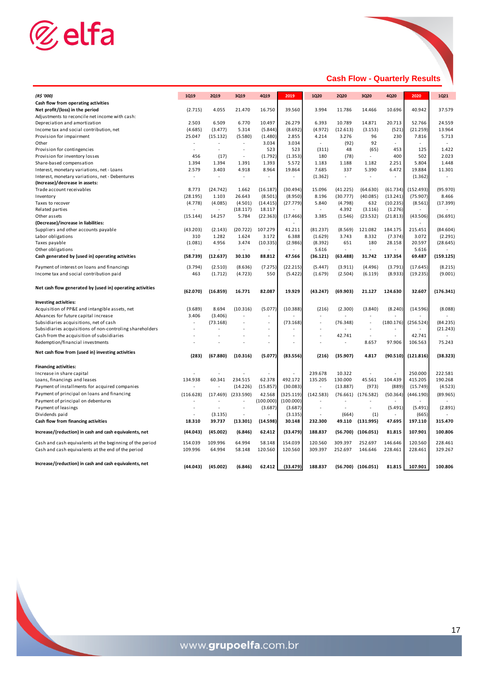

# **Cash Flow - Quarterly Results**

| (R\$ '000)                                                | <b>1Q19</b> | <b>2Q19</b>    | 3Q19      | 4Q19      | 2019      | <b>1Q20</b> | <b>2Q20</b> | 3Q20                   | 4Q20           | 2020      | <b>1Q21</b> |
|-----------------------------------------------------------|-------------|----------------|-----------|-----------|-----------|-------------|-------------|------------------------|----------------|-----------|-------------|
| Cash flow from operating activities                       |             |                |           |           |           |             |             |                        |                |           |             |
| Net profit/(loss) in the period                           | (2.715)     | 4.055          | 21.470    | 16.750    | 39.560    | 3.994       | 11.786      | 14.466                 | 10.696         | 40.942    | 37.579      |
| Adjustments to reconcile net income with cash:            |             |                |           |           |           |             |             |                        |                |           |             |
| Depreciation and amortization                             | 2.503       | 6.509          | 6.770     | 10.497    | 26.279    | 6.393       | 10.789      | 14.871                 | 20.713         | 52.766    | 24.559      |
| Income tax and social contribution, net                   | (4.685)     | (3.477)        | 5.314     | (5.844)   | (8.692)   | (4.972)     | (12.613)    | (3.153)                | (521)          | (21.259)  | 13.964      |
| Provision for impairment                                  | 25.047      | (15.132)       | (5.580)   | (1.480)   | 2.855     | 4.214       | 3.276       | 96                     | 230            | 7.816     | 5.713       |
| Other                                                     |             | ÷.             | $\sim$    | 3.034     | 3.034     | $\sim$      | (92)        | 92                     | $\sim$         |           | $\sim$      |
| Provision for contingencies                               |             | $\overline{a}$ |           | 523       | 523       | (311)       | 48          | (65)                   | 453            | 125       | 1.422       |
| Provision for inventory losses                            | 456         | (17)           | ÷,        | (1.792)   | (1.353)   | 180         | (78)        | $\sim$                 | 400            | 502       | 2.023       |
| Share-based compensation                                  | 1.394       | 1.394          | 1.391     | 1.393     | 5.572     | 1.183       | 1.188       | 1.182                  | 2.251          | 5.804     | 1.448       |
| Interest, monetary variations, net - Loans                | 2.579       | 3.403          | 4.918     | 8.964     | 19.864    | 7.685       | 337         | 5.390                  | 6.472          | 19.884    | 11.301      |
| Interest, monetary variations, net - Debentures           | ä,          | ÷              | $\sim$    | ÷         | $\sim$    | (1.362)     | ÷.          | ä,                     | ä,             | (1.362)   | ÷.          |
| (Increase)/decrease in assets:                            |             |                |           |           |           |             |             |                        |                |           |             |
| Trade account receivables                                 | 8.773       | (24.742)       | 1.662     | (16.187)  | (30.494)  | 15.096      | (41.225)    | (64.630)               | (61.734)       | (152.493) | (95.970)    |
| Inventory                                                 | (28.195)    | 1.103          | 26.643    | (8.501)   | (8.950)   | 8.196       | (30.777)    | (40.085)               | (13.241)       | (75.907)  | 8.466       |
| Taxes to recover                                          | (4.778)     | (4.085)        | (4.501)   | (14.415)  | (27.779)  | 5.840       | (4.798)     | 632                    | (10.235)       | (8.561)   | (17.399)    |
| Related parties                                           |             | ÷.             | (18.117)  | 18.117    |           | $\sim$      | 4.392       | (3.116)                | (1.276)        |           |             |
| Other assets                                              | (15.144)    | 14.257         | 5.784     | (22.363)  | (17.466)  | 3.385       | (1.546)     | (23.532)               | (21.813)       | (43.506)  | (36.691)    |
| (Decrease)/increase in liabilities:                       |             |                |           |           | ÷         |             |             |                        |                |           |             |
| Suppliers and other accounts payable                      | (43.203)    | (2.143)        | (20.722)  | 107.279   | 41.211    | (81.237)    | (8.569)     | 121.082                | 184.175        | 215.451   | (84.604)    |
| Labor obligations                                         | 310         | 1.282          | 1.624     | 3.172     | 6.388     | (1.629)     | 3.743       | 8.332                  | (7.374)        | 3.072     | (2.291)     |
| Taxes payable                                             | (1.081)     | 4.956          | 3.474     | (10.335)  | (2.986)   | (8.392)     | 651         | 180                    | 28.158         | 20.597    | (28.645)    |
| Other obligations                                         |             |                |           |           |           | 5.616       |             |                        |                | 5.616     |             |
| Cash generated by (used in) operating activities          | (58.739)    | (12.637)       | 30.130    | 88.812    | 47.566    | (36.121)    | (63.488)    | 31.742                 | 137.354        | 69.487    | (159.125)   |
| Payment of interest on loans and financings               | (3.794)     | (2.510)        | (8.636)   | (7.275)   | (22.215)  | (5.447)     | (3.911)     | (4.496)                | (3.791)        | (17.645)  | (8.215)     |
| Income tax and social contribution paid                   | 463         | (1.712)        | (4.723)   | 550       | (5.422)   | (1.679)     | (2.504)     | (6.119)                | (8.933)        | (19.235)  | (9.001)     |
| Net cash flow generated by (used in) operating activities | (62.070)    | (16.859)       | 16.771    | 82.087    | 19.929    | (43.247)    | (69.903)    | 21.127                 | 124.630        | 32.607    | (176.341)   |
|                                                           |             |                |           |           |           |             |             |                        |                |           |             |
| Investing activities:                                     |             |                |           |           |           |             |             |                        |                |           |             |
| Acquisition of PP&E and intangible assets, net            | (3.689)     | 8.694          | (10.316)  | (5.077)   | (10.388)  | (216)       | (2.300)     | (3.840)                | (8.240)        | (14.596)  | (8.088)     |
| Advances for future capital increase                      | 3.406       | (3.406)        |           |           |           |             |             |                        |                |           |             |
| Subsidiaries acquisitions, net of cash                    | ۰           | (73.168)       |           | ÷,        | (73.168)  |             | (76.348)    | ÷,                     | (180.176)      | (256.524) | (84.235)    |
| Subsidiaries acquisitions of non-controling shareholders  |             |                |           |           |           |             |             |                        |                |           | (21.243)    |
| Cash from the acquisition of subsidiaries                 |             |                |           | ÷,        | J,        |             | 42.741      | ÷,                     | ÷,             | 42.741    |             |
| Redemption/financial investments                          |             |                |           | ÷,        | ÷,        |             |             | 8.657                  | 97.906         | 106.563   | 75.243      |
| Net cash flow from (used in) investing activities         | (283)       | (67.880)       | (10.316)  | (5.077)   | (83.556)  | (216)       | (35.907)    | 4.817                  | (90.510)       | (121.816) | (38.323)    |
| <b>Financing activities:</b>                              |             |                |           |           |           |             |             |                        |                |           |             |
| Increase in share capital                                 |             |                |           |           |           | 239.678     | 10.322      |                        |                | 250.000   | 222.581     |
| Loans, financings and leases                              | 134.938     | 60.341         | 234.515   | 62.378    | 492.172   | 135.205     | 130.000     | 45.561                 | 104.439        | 415.205   | 190.268     |
| Payment of installments for acquired companies            |             |                | (14.226)  | (15.857)  | (30.083)  | ä,          | (13.887)    | (973)                  | (889)          | (15.749)  | (4.523)     |
| Payment of principal on loans and financing               | (116.628)   | (17.469)       | (233.590) | 42.568    | (325.119) | (142.583)   | (76.661)    | (176.582)              | (50.364)       | (446.190) | (89.965)    |
| Payment of principal on debentures                        |             |                |           | (100.000) | (100.000) |             |             |                        |                |           |             |
| Payment of leasings                                       |             |                | ÷,        | (3.687)   | (3.687)   |             |             | ä,                     | (5.491)        | (5.491)   | (2.891)     |
| Dividends paid                                            |             | (3.135)        | $\sim$    |           | (3.135)   |             | (664)       | (1)                    | $\blacksquare$ | (665)     |             |
| Cash flow from financing activities                       | 18.310      | 39.737         | (13.301)  | (14.598)  | 30.148    | 232.300     | 49.110      | (131.995)              | 47.695         | 197.110   | 315.470     |
| Increase/(reduction) in cash and cash equivalents, net    | (44.043)    | (45.002)       | (6.846)   | 62.412    | (33.479)  | 188.837     | (56.700)    | (106.051)              | 81.815         | 107.901   | 100.806     |
| Cash and cash equivalents at the beginning of the period  | 154.039     | 109.996        | 64.994    | 58.148    | 154.039   | 120.560     | 309.397     | 252.697                | 146.646        | 120.560   | 228.461     |
| Cash and cash equivalents at the end of the period        | 109.996     | 64.994         | 58.148    | 120.560   | 120.560   | 309.397     | 252.697     | 146.646                | 228.461        | 228.461   | 329.267     |
|                                                           |             |                |           |           |           |             |             |                        |                |           |             |
| Increase/(reduction) in cash and cash equivalents, net    | (44.043)    | (45.002)       | (6.846)   | 62.412    | (33.479)  | 188.837     |             | $(56.700)$ $(106.051)$ | 81.815         | 107.901   | 100.806     |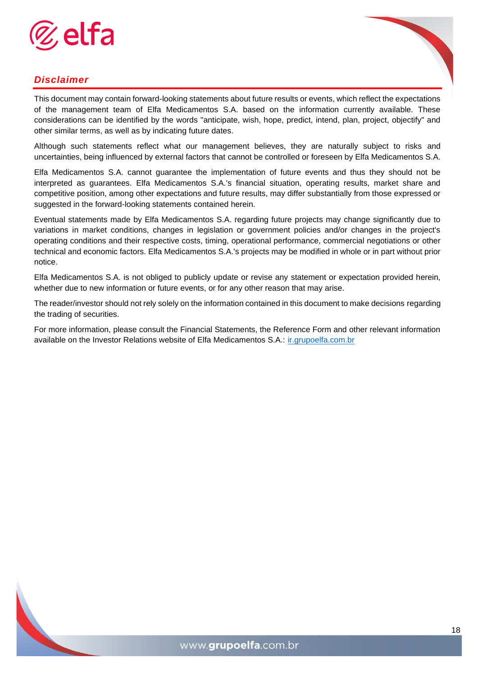

# *Disclaimer*

This document may contain forward-looking statements about future results or events, which reflect the expectations of the management team of Elfa Medicamentos S.A. based on the information currently available. These considerations can be identified by the words "anticipate, wish, hope, predict, intend, plan, project, objectify" and other similar terms, as well as by indicating future dates.

Although such statements reflect what our management believes, they are naturally subject to risks and uncertainties, being influenced by external factors that cannot be controlled or foreseen by Elfa Medicamentos S.A.

Elfa Medicamentos S.A. cannot guarantee the implementation of future events and thus they should not be interpreted as guarantees. Elfa Medicamentos S.A.'s financial situation, operating results, market share and competitive position, among other expectations and future results, may differ substantially from those expressed or suggested in the forward-looking statements contained herein.

Eventual statements made by Elfa Medicamentos S.A. regarding future projects may change significantly due to variations in market conditions, changes in legislation or government policies and/or changes in the project's operating conditions and their respective costs, timing, operational performance, commercial negotiations or other technical and economic factors. Elfa Medicamentos S.A.'s projects may be modified in whole or in part without prior notice.

Elfa Medicamentos S.A. is not obliged to publicly update or revise any statement or expectation provided herein, whether due to new information or future events, or for any other reason that may arise.

The reader/investor should not rely solely on the information contained in this document to make decisions regarding the trading of securities.

For more information, please consult the Financial Statements, the Reference Form and other relevant information available on the Investor Relations website of Elfa Medicamentos S.A.: [ir.grupoelfa.com.br](http://www.grupoelfa.com.br/ir)